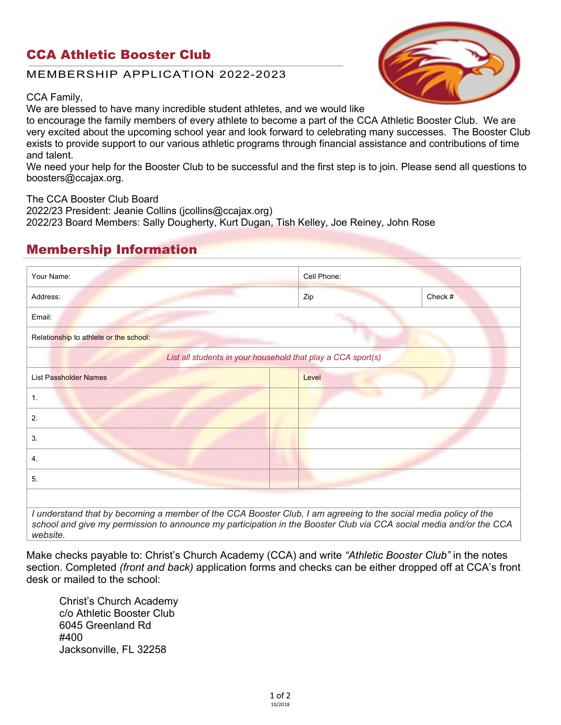### CCA Athletic Booster Club

#### MEMBERSHIP APPLICATION 2022-2023

CCA Family,

We are blessed to have many incredible student athletes, and we would like

to encourage the family members of every athlete to become a part of the CCA Athletic Booster Club. We are very excited about the upcoming school year and look forward to celebrating many successes. The Booster Club exists to provide support to our various athletic programs through financial assistance and contributions of time and talent.

We need your help for the Booster Club to be successful and the first step is to join. Please send all questions to boosters@ccajax.org.

The CCA Booster Club Board

2022/23 President: Jeanie Collins (jcollins@ccajax.org)

2022/23 Board Members: Sally Dougherty, Kurt Dugan, Tish Kelley, Joe Reiney, John Rose

# Membership Information

| Your Name:                             | Cell Phone:                                                  |         |  |
|----------------------------------------|--------------------------------------------------------------|---------|--|
| Address:                               | Zip                                                          | Check # |  |
| Email:                                 |                                                              |         |  |
| Relationship to athlete or the school: |                                                              |         |  |
|                                        | List all students in your household that play a CCA sport(s) |         |  |
| <b>List Passholder Names</b>           | Level                                                        |         |  |
| 1.                                     |                                                              |         |  |
| 2.                                     |                                                              |         |  |
| 3.                                     |                                                              |         |  |
| 4.                                     |                                                              |         |  |
| 5.                                     |                                                              |         |  |

Make checks payable to: Christ's Church Academy (CCA) and write *"Athletic Booster Club"* in the notes section. Completed *(front and back)* application forms and checks can be either dropped off at CCA's front desk or mailed to the school:

Christ's Church Academy c/o Athletic Booster Club 6045 Greenland Rd #400 Jacksonville, FL 32258